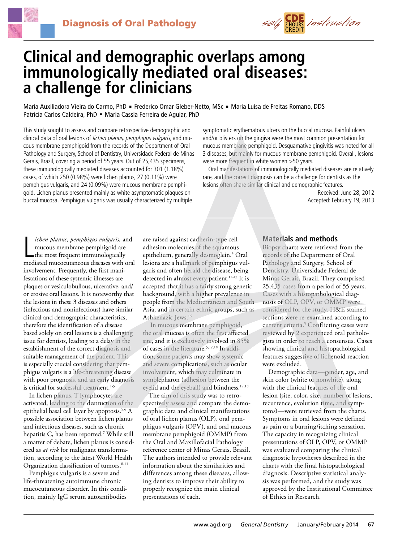



# **Clinical and demographic overlaps among immunologically mediated oral diseases: a challenge for clinicians**

Maria Auxiliadora Vieira do Carmo, PhD · Frederico Omar Gleber-Netto, MSc · Maria Luisa de Freitas Romano, DDS Patricia Carlos Caldeira, PhD · Maria Cassia Ferreira de Aguiar, PhD

This study sought to assess and compare retrospective demographic and clinical data of oral lesions of lichen planus, pemphigus vulgaris, and mucous membrane pemphigoid from the records of the Department of Oral Pathology and Surgery, School of Dentistry, Universidade Federal de Minas Gerais, Brazil, covering a period of 55 years. Out of 25,435 specimens, these immunologically mediated diseases accounted for 301 (1.18%) cases, of which 250 (0.98%) were lichen planus, 27 (0.11%) were pemphigus vulgaris, and 24 (0.09%) were mucous membrane pemphigoid. Lichen planus presented mainly as white asymptomatic plaques on buccal mucosa. Pemphigus vulgaris was usually characterized by multiple

symptomatic erythematous ulcers on the buccal mucosa. Painful ulcers and/or blisters on the gingiva were the most common presentation for mucous membrane pemphigoid. Desquamative gingivitis was noted for all 3 diseases, but mainly for mucous membrane pemphigoid. Overall, lesions were more frequent in white women >50 years.

Oral manifestations of immunologically mediated diseases are relatively rare, and the correct diagnosis can be a challenge for dentists as the lesions often share similar clinical and demographic features.

> Received: June 28, 2012 Accepted: February 19, 2013

ichen planus, pemphigus vulgaris, and<br>mucous membrane pemphigoid are<br>the most frequent immunologically<br>mediated mucocutaneous diseases with oral *ichen planus, pemphigus vulgaris,* and mucous membrane pemphigoid are the most frequent immunologically involvement. Frequently, the first manifestations of these systemic illnesses are plaques or vesiculobullous, ulcerative, and/ or erosive oral lesions. It is noteworthy that the lesions in these 3 diseases and others (infectious and noninfectious) have similar clinical and demographic characteristics, therefore the identification of a disease based solely on oral lesions is a challenging issue for dentists, leading to a delay in the establishment of the correct diagnosis and suitable management of the patient. This is especially crucial considering that pemphigus vulgaris is a life-threatening disease with poor prognosis, and an early diagnosis is critical for successful treatment.<sup>1-5</sup>

In lichen planus, T lymphocytes are activated, leading to the destruction of the epithelial basal cell layer by apoptosis.<sup>5,6</sup> A possible association between lichen planus and infectious diseases, such as chronic hepatitis C, has been reported.7 While still a matter of debate, lichen planus is considered as *at risk* for malignant transformation, according to the latest World Health Organization classification of tumors.<sup>8-11</sup>

Pemphigus vulgaris is a severe and life-threatening autoimmune chronic mucocutaneous disorder. In this condition, mainly IgG serum autoantibodies are raised against cadherin-type cell adhesion molecules of the squamous epithelium, generally desmoglein.3 Oral lesions are a hallmark of pemphigus vulgaris and often herald the disease, being detected in almost every patient.<sup>12-15</sup> It is accepted that it has a fairly strong genetic background, with a higher prevalence in people from the Mediterranean and South Asia, and in certain ethnic groups, such as Ashkenazic Jews.16

 In mucous membrane pemphigoid, the oral mucosa is often the first affected site, and it is exclusively involved in 85% of cases in the literature.5,17,18 In addition, some patients may show systemic and severe complications, such as ocular involvement, which may culminate in symblepharon (adhesion between the eyelid and the eyeball) and blindness.<sup>17,18</sup>

The aim of this study was to retrospectively assess and compare the demographic data and clinical manifestations of oral lichen planus (OLP), oral pemphigus vulgaris (OPV), and oral mucous membrane pemphigoid (OMMP) from the Oral and Maxillofacial Pathology reference center of Minas Gerais, Brazil. The authors intended to provide relevant information about the similarities and differences among these diseases, allowing dentists to improve their ability to properly recognize the main clinical presentations of each.

# **Materials and methods**

Biopsy charts were retrieved from the records of the Department of Oral Pathology and Surgery, School of Dentistry, Universidade Federal de Minas Gerais, Brazil. They comprised 25,435 cases from a period of 55 years. Cases with a histopathological diagnosis of OLP, OPV, or OMMP were considered for the study. H&E stained sections were re-examined according to current criteria.<sup>5</sup> Conflicting cases were reviewed by 2 experienced oral pathologists in order to reach a consensus. Cases showing clinical and histopathological features suggestive of lichenoid reaction were excluded.

Demographic data—gender, age, and skin color (white or nonwhite), along with the clinical features of the oral lesion (site, color, size, number of lesions, recurrence, evolution time, and symptoms)—were retrieved from the charts. Symptoms in oral lesions were defined as pain or a burning/itching sensation. The capacity in recognizing clinical presentations of OLP, OPV, or OMMP was evaluated comparing the clinical diagnostic hypotheses described in the charts with the final histopathological diagnosis. Descriptive statistical analysis was performed, and the study was approved by the Institutional Committee of Ethics in Research.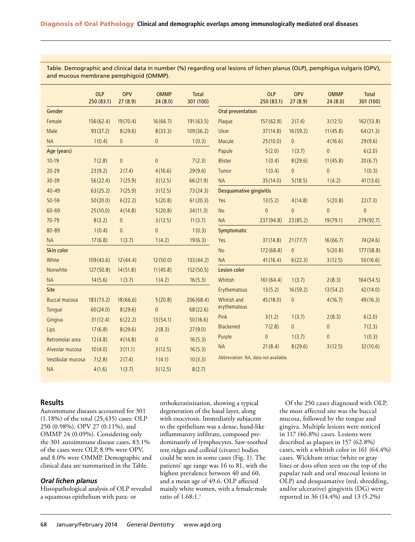| Table. Demographic and clinical data in number (%) regarding oral lesions of lichen planus (OLP), pemphigus vulgaris (OPV), |
|-----------------------------------------------------------------------------------------------------------------------------|
| and mucous membrane pemphigoid (OMMP).                                                                                      |

|                      | <b>OLP</b><br>250 (83.1) | <b>OPV</b><br>27(8.9) | <b>OMMP</b><br>24(8.0) | <b>Total</b><br>301 (100) |                                       | <b>OLP</b><br>250(83.1) | <b>OPV</b><br>27(8.9) | <b>OMMP</b><br>24(8.0) | <b>Total</b><br>301 (100) |  |
|----------------------|--------------------------|-----------------------|------------------------|---------------------------|---------------------------------------|-------------------------|-----------------------|------------------------|---------------------------|--|
| Gender               |                          |                       |                        |                           | <b>Oral presentation</b>              |                         |                       |                        |                           |  |
| Female               | 156(62.4)                | 19(70.4)              | 16(66.7)               | 191(63.5)                 | Plaque                                | 157(62.8)               | 2(7.4)                | 3(12.5)                | 162(53.8)                 |  |
| Male                 | 93(37.2)                 | 8(29.6)               | 8(33.3)                | 109(36.2)                 | <b>Ulcer</b>                          | 37(14.8)                | 16(59.2)              | 11(45.8)               | 64(21.3)                  |  |
| <b>NA</b>            | 1(0.4)                   | $\overline{0}$        | $\mathsf{0}$           | 1(0.3)                    | Macule                                | 25(10.0)                | $\mathbf 0$           | 4(16.6)                | 29(9.6)                   |  |
| Age (years)          |                          |                       |                        |                           | Papule                                | 5(2.0)                  | 1(3.7)                | $\overline{0}$         | 6(2.0)                    |  |
| $10-19$              | 7(2.8)                   | $\overline{0}$        | $\mathbf{0}$           | 7(2.3)                    | <b>Blister</b>                        | 1(0.4)                  | 8(29.6)               | 11(45.8)               | 20(6.7)                   |  |
| $20 - 29$            | 23(9.2)                  | 2(7.4)                | 4(16.6)                | 29(9.6)                   | Tumor                                 | 1(0.4)                  | $\mathsf{0}$          | $\mathbf 0$            | 1(0.3)                    |  |
| 30-39                | 56(22.4)                 | 7(25.9)               | 3(12.5)                | 66(21.9)                  | <b>NA</b>                             | 35(14.0)                | 5(18.5)               | 1(4.2)                 | 41(13.6)                  |  |
| $40 - 49$            | 63(25.2)                 | 7(25.9)               | 3(12.5)                | 73(24.3)                  | Desquamative gingivitis               |                         |                       |                        |                           |  |
| $50 - 59$            | 50(20.0)                 | 6(22.2)               | 5(20.8)                | 61(20.3)                  | Yes                                   | 13(5.2)                 | 4(14.8)               | 5(20.8)                | 22(7.3)                   |  |
| 60-69                | 25(10.0)                 | 4(14.8)               | 5(20.8)                | 34(11.3)                  | <b>No</b>                             | $\overline{0}$          | $\overline{0}$        | $\overline{0}$         | $\mathbf{0}$              |  |
| 70-79                | 8(3.2)                   | $\overline{0}$        | 3(12.5)                | 11(3.7)                   | <b>NA</b>                             | 237(94.8)               | 23(85.2)              | 19(79.1)               | 279(92.7)                 |  |
| 80-89                | 1(0.4)                   | $\overline{0}$        | $\overline{0}$         | 1(0.3)                    | Symptomatic                           |                         |                       |                        |                           |  |
| <b>NA</b>            | 17(6.8)                  | 1(3.7)                | 1(4.2)                 | 19(6.3)                   | Yes                                   | 37(14.8)                | 21(77.7)              | 16(66.7)               | 74(24.6)                  |  |
| Skin color           |                          |                       |                        |                           | <b>No</b>                             | 172(68.8)               | $\mathbf 0$           | 5(20.8)                | 177(58.8)                 |  |
| White                | 109(43.6)                | 12(44.4)              | 12(50.0)               | 133(44.2)                 | <b>NA</b>                             | 41(16.4)                | 6(22.3)               | 3(12.5)                | 50(16.6)                  |  |
| Nonwhite             | 127(50.8)                | 14(51.8)              | 11(45.8)               | 152(50.5)                 | <b>Lesion color</b>                   |                         |                       |                        |                           |  |
| <b>NA</b>            | 14(5.6)                  | 1(3.7)                | 1(4.2)                 | 16(5.3)                   | Whitish                               | 161(64.4)               | 1(3.7)                | 2(8.3)                 | 164(54.5)                 |  |
| Site                 |                          |                       |                        |                           | Erythematous                          | 13(5.2)                 | 16(59.2)              | 13(54.2)               | 42(14.0)                  |  |
| <b>Buccal mucosa</b> | 183(73.2)                | 18(66.6)              | 5(20.8)                | 206(68.4)                 | Whitish and                           | 45(18.0)                | $\mathbf 0$           | 4(16.7)                | 49(16.3)                  |  |
| Tongue               | 60(24.0)                 | 8(29.6)               | $\mathbf{0}$           | 68(22.6)                  | erythematous                          |                         |                       |                        |                           |  |
| Gingiva              | 31(12.4)                 | 6(22.2)               | 13(54.1)               | 50(16.6)                  | Pink                                  | 3(1.2)                  | 1(3.7)                | 2(8.3)                 | 6(2.0)                    |  |
| Lips                 | 17(6.8)                  | 8(29.6)               | 2(8.3)                 | 27(9.0)                   | <b>Blackened</b>                      | 7(2.8)                  | $\overline{0}$        | $\mathbf 0$            | 7(2.3)                    |  |
| Retromolar area      | 12(4.8)                  | 4(14.8)               | $\mathbf{0}$           | 16(5.3)                   | Purple                                | $\mathbf 0$             | 1(3.7)                | $\mathbf 0$            | 1(0.3)                    |  |
| Alveolar mucosa      | 10(4.0)                  | 3(11.1)               | 3(12.5)                | 16(5.3)                   | <b>NA</b>                             | 21(8.4)                 | 8(29.6)               | 3(12.5)                | 32(10.6)                  |  |
| Vestibular mucosa    | 7(2.8)                   | 2(7.4)                | 1(4.1)                 | 10(3.3)                   | Abbreviation: NA, data not available. |                         |                       |                        |                           |  |
| <b>NA</b>            | 4(1.6)                   | 1(3.7)                | 3(12.5)                | 8(2.7)                    |                                       |                         |                       |                        |                           |  |

# **Results**

Autoimmune diseases accounted for 301 (1.18%) of the total (25,435) cases: OLP 250 (0.98%), OPV 27 (0.11%), and OMMP 24 (0.09%). Considering only the 301 autoimmune disease cases, 83.1% of the cases were OLP, 8.9% were OPV, and 8.0% were OMMP. Demographic and clinical data are summarized in the Table.

# *Oral lichen planus*

Histopathological analysis of OLP revealed a squamous epithelium with para- or

orthokeratinization, showing a typical degeneration of the basal layer, along with exocytosis. Immediately subjacent to the epithelium was a dense, band-like inflammatory infiltrate, composed predominantly of lymphocytes. Saw-toothed rete ridges and colloid (civatte) bodies could be seen in some cases (Fig. 1). The patients' age range was 16 to 81, with the highest prevalence between 40 and 60, and a mean age of 49.6. OLP affected mainly white women, with a female:male ratio of 1.68:1.<sup>1</sup>

Of the 250 cases diagnosed with OLP, the most affected site was the buccal mucosa, followed by the tongue and gingiva. Multiple lesions were noticed in 117 (46.8%) cases. Lesions were described as plaques in 157 (62.8%) cases, with a whitish color in 161 (64.4%) cases. Wickham striae (white or gray lines or dots often seen on the top of the papular rash and oral mucosal lesions in OLP) and desquamative (red, shredding, and/or ulcerative) gingivitis (DG) were reported in 36 (14.4%) and 13 (5.2%)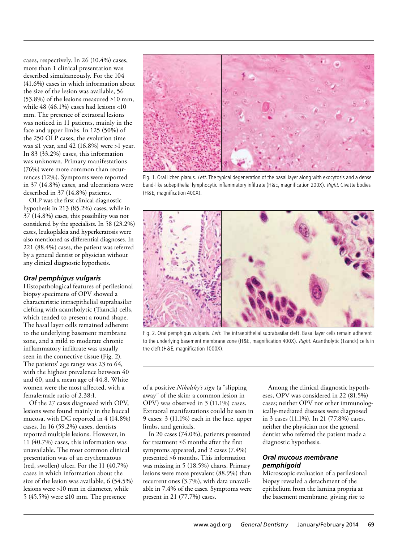cases, respectively. In 26 (10.4%) cases, more than 1 clinical presentation was described simultaneously. For the 104 (41.6%) cases in which information about the size of the lesion was available, 56 (53.8%) of the lesions measured ≥10 mm, while 48 (46.1%) cases had lesions <10 mm. The presence of extraoral lesions was noticed in 11 patients, mainly in the face and upper limbs. In 125 (50%) of the 250 OLP cases, the evolution time was  $\leq 1$  year, and 42 (16.8%) were  $>1$  year. In 83 (33.2%) cases, this information was unknown. Primary manifestations (76%) were more common than recurrences (12%). Symptoms were reported in 37 (14.8%) cases, and ulcerations were described in 37 (14.8%) patients.

OLP was the first clinical diagnostic hypothesis in 213 (85.2%) cases, while in 37 (14.8%) cases, this possibility was not considered by the specialists. In 58 (23.2%) cases, leukoplakia and hyperkeratosis were also mentioned as differential diagnoses. In 221 (88.4%) cases, the patient was referred by a general dentist or physician without any clinical diagnostic hypothesis.

# *Oral pemphigus vulgaris*

Histopathological features of perilesional biopsy specimens of OPV showed a characteristic intraepithelial suprabasilar clefting with acantholytic (Tzanck) cells, which tended to present a round shape. The basal layer cells remained adherent to the underlying basement membrane zone, and a mild to moderate chronic inflammatory infiltrate was usually seen in the connective tissue (Fig. 2). The patients' age range was 23 to 64, with the highest prevalence between 40 and 60, and a mean age of 44.8. White women were the most affected, with a female:male ratio of 2.38:1.

Of the 27 cases diagnosed with OPV, lesions were found mainly in the buccal mucosa, with DG reported in 4 (14.8%) cases. In 16 (59.2%) cases, dentists reported multiple lesions. However, in 11 (40.7%) cases, this information was unavailable. The most common clinical presentation was of an erythematous (red, swollen) ulcer. For the 11 (40.7%) cases in which information about the size of the lesion was available, 6 (54.5%) lesions were >10 mm in diameter, while 5 (45.5%) were ≤10 mm. The presence



Fig. 1. Oral lichen planus. Left. The typical degeneration of the basal layer along with exocytosis and a dense band-like subepithelial lymphocytic inflammatory infiltrate (H&E, magnification 200X). Right. Civatte bodies (H&E, magnification 400X).



Fig. 2. Oral pemphigus vulgaris. Left. The intraepithelial suprabasilar cleft. Basal layer cells remain adherent to the underlying basement membrane zone (H&E, magnification 400X). Right. Acantholytic (Tzanck) cells in the cleft (H&E, magnification 1000X).

of a positive *Nikolsky's sign* (a "slipping away" of the skin; a common lesion in OPV) was observed in 3 (11.1%) cases. Extraoral manifestations could be seen in 9 cases: 3 (11.1%) each in the face, upper limbs, and genitals.

In 20 cases (74.0%), patients presented for treatment ≤6 months after the first symptoms appeared, and 2 cases (7.4%) presented >6 months. This information was missing in 5 (18.5%) charts. Primary lesions were more prevalent (88.9%) than recurrent ones (3.7%), with data unavailable in 7.4% of the cases. Symptoms were present in 21 (77.7%) cases.

Among the clinical diagnostic hypotheses, OPV was considered in 22 (81.5%) cases; neither OPV nor other immunologically-mediated diseases were diagnosed in 3 cases (11.1%). In 21 (77.8%) cases, neither the physician nor the general dentist who referred the patient made a diagnostic hypothesis.

# *Oral mucous membrane pemphigoid*

Microscopic evaluation of a perilesional biopsy revealed a detachment of the epithelium from the lamina propria at the basement membrane, giving rise to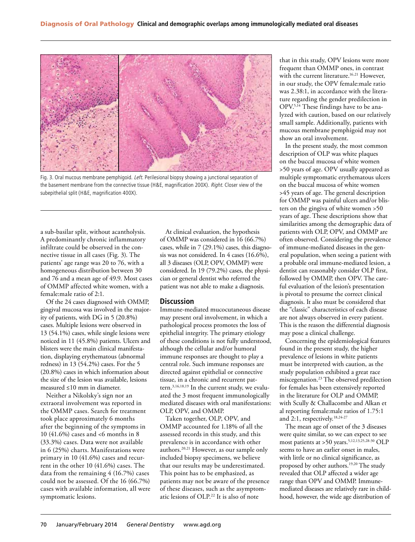

Fig. 3. Oral mucous membrane pemphigoid. Left. Perilesional biopsy showing a junctional separation of the basement membrane from the connective tissue (H&E, magnification 200X). Right. Closer view of the subepithelial split (H&E, magnification 400X).

a sub-basilar split, without acantholysis. A predominantly chronic inflammatory infiltrate could be observed in the connective tissue in all cases (Fig. 3). The patients' age range was 20 to 76, with a homogeneous distribution between 30 and 76 and a mean age of 49.9. Most cases of OMMP affected white women, with a female:male ratio of 2:1.

Of the 24 cases diagnosed with OMMP, gingival mucosa was involved in the majority of patients, with DG in 5 (20.8%) cases. Multiple lesions were observed in 13 (54.1%) cases, while single lesions were noticed in 11 (45.8%) patients. Ulcers and blisters were the main clinical manifestation, displaying erythematous (abnormal redness) in 13 (54.2%) cases. For the 5 (20.8%) cases in which information about the size of the lesion was available, lesions measured ≤10 mm in diameter.

Neither a Nikolsky's sign nor an extraoral involvement was reported in the OMMP cases. Search for treatment took place approximately 6 months after the beginning of the symptoms in 10 (41.6%) cases and <6 months in 8 (33.3%) cases. Data were not available in 6 (25%) charts. Manifestations were primary in 10 (41.6%) cases and recurrent in the other 10 (41.6%) cases. The data from the remaining 4 (16.7%) cases could not be assessed. Of the 16 (66.7%) cases with available information, all were symptomatic lesions.

At clinical evaluation, the hypothesis of OMMP was considered in 16 (66.7%) cases, while in 7 (29.1%) cases, this diagnosis was not considered. In 4 cases (16.6%), all 3 diseases (OLP, OPV, OMMP) were considered. In 19 (79.2%) cases, the physician or general dentist who referred the patient was not able to make a diagnosis.

#### **Discussion**

Immune-mediated mucocutaneous disease may present oral involvement, in which a pathological process promotes the loss of epithelial integrity. The primary etiology of these conditions is not fully understood, although the cellular and/or humoral immune responses are thought to play a central role. Such immune responses are directed against epithelial or connective tissue, in a chronic and recurrent pattern.3,16,18,19 In the current study, we evaluated the 3 most frequent immunologically mediated diseases with oral manifestations: OLP, OPV, and OMMP.

Taken together, OLP, OPV, and OMMP accounted for 1.18% of all the assessed records in this study, and this prevalence is in accordance with other authors.<sup>20,21</sup> However, as our sample only included biopsy specimens, we believe that our results may be underestimated. This point has to be emphasized, as patients may not be aware of the presence of these diseases, such as the asymptomatic lesions of OLP.22 It is also of note

that in this study, OPV lesions were more frequent than OMMP ones, in contrast with the current literature.<sup>16,21</sup> However, in our study, the OPV female:male ratio was 2.38:1, in accordance with the literature regarding the gender predilection in OPV.5,14 These findings have to be analyzed with caution, based on our relatively small sample. Additionally, patients with mucous membrane pemphigoid may not show an oral involvement.

In the present study, the most common description of OLP was white plaques on the buccal mucosa of white women >50 years of age. OPV usually appeared as multiple symptomatic erythematous ulcers on the buccal mucosa of white women >45 years of age. The general description for OMMP was painful ulcers and/or blisters on the gingiva of white women >50 years of age. These descriptions show that similarities among the demographic data of patients with OLP, OPV, and OMMP are often observed. Considering the prevalence of immune-mediated diseases in the general population, when seeing a patient with a probable oral immune-mediated lesion, a dentist can reasonably consider OLP first, followed by OMMP, then OPV. The careful evaluation of the lesion's presentation is pivotal to presume the correct clinical diagnosis. It also must be considered that the "classic" characteristics of each disease are not always observed in every patient. This is the reason the differential diagnosis may pose a clinical challenge.

Concerning the epidemiological features found in the present study, the higher prevalence of lesions in white patients must be interpreted with caution, as the study population exhibited a great race miscegenation.23 The observed predilection for females has been extensively reported in the literature for OLP and OMMP, with Scully & Challacombe and Alkan et al reporting female:male ratios of 1.75:1 and 2:1, respectively.<sup>18,24-27</sup>

The mean age of onset of the 3 diseases were quite similar, so we can expect to see most patients at >50 years.<sup>5,12,13,25,28-30</sup> OLP seems to have an earlier onset in males, with little or no clinical significance, as proposed by other authors.19,20 The study revealed that OLP affected a wider age range than OPV and OMMP. Immunemediated diseases are relatively rare in childhood, however, the wide age distribution of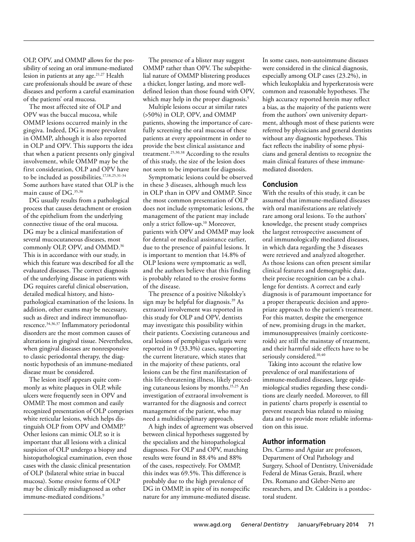OLP, OPV, and OMMP allows for the possibility of seeing an oral immune-mediated lesion in patients at any age.<sup>21,27</sup> Health care professionals should be aware of these diseases and perform a careful examination of the patients' oral mucosa.

The most affected site of OLP and OPV was the buccal mucosa, while OMMP lesions occurred mainly in the gingiva. Indeed, DG is more prevalent in OMMP, although it is also reported in OLP and OPV. This supports the idea that when a patient presents only gingival involvement, while OMMP may be the first consideration, OLP and OPV have to be included as possibilities.<sup>17,18,25,31-34</sup> Some authors have stated that OLP is the main cause of DG.35,36

DG usually results from a pathological process that causes detachment or erosion of the epithelium from the underlying connective tissue of the oral mucosa. DG may be a clinical manifestation of several mucocutaneous diseases, most commonly OLP, OPV, and OMMD.<sup>36</sup> This is in accordance with our study, in which this feature was described for all the evaluated diseases. The correct diagnosis of the underlying disease in patients with DG requires careful clinical observation, detailed medical history, and histopathological examination of the lesions. In addition, other exams may be necessary, such as direct and indirect immunofluorescence.34,36,37 Inflammatory periodontal disorders are the most common causes of alterations in gingival tissue. Nevertheless, when gingival diseases are nonresponsive to classic periodontal therapy, the diagnostic hypothesis of an immune-mediated disease must be considered.

The lesion itself appears quite commonly as white plaques in OLP, while ulcers were frequently seen in OPV and OMMP. The most common and easily recognized presentation of OLP comprises white reticular lesions, which helps distinguish OLP from OPV and OMMP.<sup>9</sup> Other lesions can mimic OLP, so it is important that all lesions with a clinical suspicion of OLP undergo a biopsy and histopathological examination, even those cases with the classic clinical presentation of OLP (bilateral white striae in buccal mucosa). Some erosive forms of OLP may be clinically misdiagnosed as other immune-mediated conditions.<sup>9</sup>

The presence of a blister may suggest OMMP rather than OPV. The subepithelial nature of OMMP blistering produces a thicker, longer lasting, and more welldefined lesion than those found with OPV, which may help in the proper diagnosis.<sup>5</sup>

Multiple lesions occur at similar rates (>50%) in OLP, OPV, and OMMP patients, showing the importance of carefully screening the oral mucosa of these patients at every appointment in order to provide the best clinical assistance and treatment.25,30,38 According to the results of this study, the size of the lesion does not seem to be important for diagnosis.

Symptomatic lesions could be observed in these 3 diseases, although much less in OLP than in OPV and OMMP. Since the most common presentation of OLP does not include symptomatic lesions, the management of the patient may include only a strict follow-up.10 Moreover, patients with OPV and OMMP may look for dental or medical assistance earlier, due to the presence of painful lesions. It is important to mention that 14.8% of OLP lesions were symptomatic as well, and the authors believe that this finding is probably related to the erosive forms of the disease.

The presence of a positive Nikolsky's sign may be helpful for diagnosis.39 As extraoral involvement was reported in this study for OLP and OPV, dentists may investigate this possibility within their patients. Coexisting cutaneous and oral lesions of pemphigus vulgaris were reported in 9 (33.3%) cases, supporting the current literature, which states that in the majority of these patients, oral lesions can be the first manifestation of this life-threatening illness, likely preceding cutaneous lesions by months.15,25 An investigation of extraoral involvement is warranted for the diagnosis and correct management of the patient, who may need a multidisciplinary approach.

A high index of agreement was observed between clinical hypotheses suggested by the specialists and the histopathological diagnoses. For OLP and OPV, matching results were found in 88.4% and 88% of the cases, respectively. For OMMP, this index was 69.5%. This difference is probably due to the high prevalence of DG in OMMP, in spite of its nonspecific nature for any immune-mediated disease.

In some cases, non-autoimmune diseases were considered in the clinical diagnosis, especially among OLP cases (23.2%), in which leukoplakia and hyperkeratosis were common and reasonable hypotheses. The high accuracy reported herein may reflect a bias, as the majority of the patients were from the authors' own university department, although most of these patients were referred by physicians and general dentists without any diagnostic hypotheses. This fact reflects the inability of some physicians and general dentists to recognize the main clinical features of these immunemediated disorders.

# **Conclusion**

With the results of this study, it can be assumed that immune-mediated diseases with oral manifestations are relatively rare among oral lesions. To the authors' knowledge, the present study comprises the largest retrospective assessment of oral immunologically mediated diseases, in which data regarding the 3 diseases were retrieved and analyzed altogether. As those lesions can often present similar clinical features and demographic data, their precise recognition can be a challenge for dentists. A correct and early diagnosis is of paramount importance for a proper therapeutic decision and appropriate approach to the patient's treatment. For this matter, despite the emergence of new, promising drugs in the market, immunosuppressives (mainly corticosteroids) are still the mainstay of treatment, and their harmful side effects have to be seriously considered.<sup>10,40</sup>

Taking into account the relative low prevalence of oral manifestations of immune-mediated diseases, large epidemiological studies regarding these conditions are clearly needed. Moreover, to fill in patients' charts properly is essential to prevent research bias related to missing data and to provide more reliable information on this issue.

# **Author information**

Drs. Carmo and Aguiar are professors, Department of Oral Pathology and Surgery, School of Dentistry, Universidade Federal de Minas Gerais, Brazil, where Drs. Romano and Gleber-Netto are researchers, and Dr. Caldeira is a postdoctoral student.